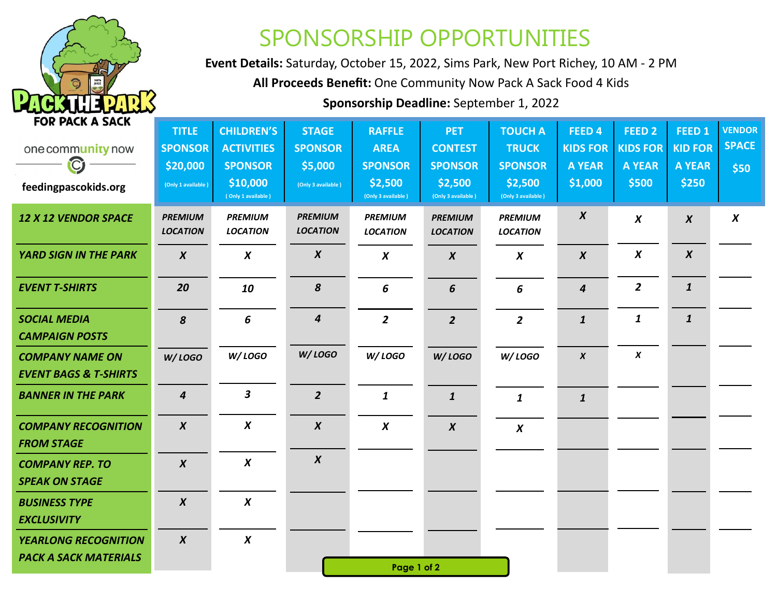

## SPONSORSHIP OPPORTUNITIES

**Event Details:** Saturday, October 15, 2022, Sims Park, New Port Richey, 10 AM - 2 PM

**All Proceeds Benefit:** One Community Now Pack A Sack Food 4 Kids

**Sponsorship Deadline:** September 1, 2022

| <b>FOR PACK A SACK</b>                                      | <b>TITLE</b>                      | <b>CHILDREN'S</b>                 | <b>STAGE</b>                      | <b>RAFFLE</b>                     | <b>PET</b>                        | <b>TOUCH A</b>                    | FEED <sub>4</sub> | FEED <sub>2</sub> | FEED <sub>1</sub> | <b>VENDOR</b>    |
|-------------------------------------------------------------|-----------------------------------|-----------------------------------|-----------------------------------|-----------------------------------|-----------------------------------|-----------------------------------|-------------------|-------------------|-------------------|------------------|
| one community now                                           | <b>SPONSOR</b>                    | <b>ACTIVITIES</b>                 | <b>SPONSOR</b>                    | <b>AREA</b>                       | <b>CONTEST</b>                    | <b>TRUCK</b>                      | <b>KIDS FOR</b>   | <b>KIDS FOR</b>   | <b>KID FOR</b>    | <b>SPACE</b>     |
| $\mathbf Q$                                                 | \$20,000                          | <b>SPONSOR</b>                    | \$5,000                           | <b>SPONSOR</b>                    | <b>SPONSOR</b>                    | <b>SPONSOR</b>                    | <b>A YEAR</b>     | <b>A YEAR</b>     | <b>A YEAR</b>     | \$50             |
| feedingpascokids.org                                        | (Only 1 available)                | \$10,000<br>(Only 1 available)    | (Only 3 available)                | \$2,500<br>(Only 3 available)     | \$2,500<br>(Only 3 available)     | \$2,500<br>(Only 3 available)     | \$1,000           | \$500             | \$250             |                  |
| <b>12 X 12 VENDOR SPACE</b>                                 | <b>PREMIUM</b><br><b>LOCATION</b> | <b>PREMIUM</b><br><b>LOCATION</b> | <b>PREMIUM</b><br><b>LOCATION</b> | <b>PREMIUM</b><br><b>LOCATION</b> | <b>PREMIUM</b><br><b>LOCATION</b> | <b>PREMIUM</b><br><b>LOCATION</b> | $\boldsymbol{X}$  | $\boldsymbol{X}$  | $\boldsymbol{X}$  | $\boldsymbol{X}$ |
| <b>YARD SIGN IN THE PARK</b>                                | $\boldsymbol{X}$                  | $\boldsymbol{X}$                  | $\boldsymbol{X}$                  | $\boldsymbol{X}$                  | $\boldsymbol{X}$                  | $\boldsymbol{X}$                  | $\boldsymbol{X}$  | $\boldsymbol{X}$  | $\boldsymbol{X}$  |                  |
| <b>EVENT T-SHIRTS</b>                                       | 20                                | 10                                | $\pmb{8}$                         | 6                                 | 6                                 | 6                                 | $\boldsymbol{4}$  | $\overline{2}$    | $\mathbf{1}$      |                  |
| <b>SOCIAL MEDIA</b><br><b>CAMPAIGN POSTS</b>                | 8                                 | 6                                 | $\boldsymbol{4}$                  | $\overline{2}$                    | $\overline{2}$                    | $\overline{2}$                    | $\mathbf{1}$      | $\mathbf{1}$      | $\mathbf{1}$      |                  |
| <b>COMPANY NAME ON</b><br><b>EVENT BAGS &amp; T-SHIRTS</b>  | <b>W/LOGO</b>                     | W/LOGO                            | W/LOGO                            | W/LOGO                            | <b>W/LOGO</b>                     | W/L0G0                            | $\boldsymbol{x}$  | $\boldsymbol{x}$  |                   |                  |
| <b>BANNER IN THE PARK</b>                                   | $\boldsymbol{4}$                  | $\overline{\mathbf{3}}$           | $\overline{2}$                    | $\mathbf{1}$                      | $\mathbf{1}$                      | $\mathbf{1}$                      | $\mathbf{1}$      |                   |                   |                  |
| <b>COMPANY RECOGNITION</b><br><b>FROM STAGE</b>             | $\boldsymbol{X}$                  | $\boldsymbol{X}$                  | $\boldsymbol{X}$                  | $\boldsymbol{X}$                  | $\boldsymbol{X}$                  | $\boldsymbol{X}$                  |                   |                   |                   |                  |
| <b>COMPANY REP. TO</b><br><b>SPEAK ON STAGE</b>             | $\boldsymbol{X}$                  | $\boldsymbol{X}$                  | $\boldsymbol{X}$                  |                                   |                                   |                                   |                   |                   |                   |                  |
| <b>BUSINESS TYPE</b><br><b>EXCLUSIVITY</b>                  | $\boldsymbol{X}$                  | $\boldsymbol{X}$                  |                                   |                                   |                                   |                                   |                   |                   |                   |                  |
| <b>YEARLONG RECOGNITION</b><br><b>PACK A SACK MATERIALS</b> | $\boldsymbol{X}$                  | $\boldsymbol{X}$                  |                                   | Page 1 of 2                       |                                   |                                   |                   |                   |                   |                  |